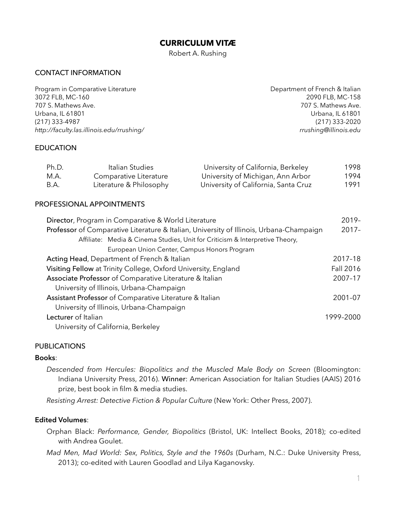## **CURRICULUM VITÆ**

Robert A. Rushing

## CONTACT INFORMATION

Program in Comparative Literature **Department of French & Italian** 3072 FLB, MC-160 2090 FLB, MC-158 707 S. Mathews Ave. 707 S. Mathews Ave. Urbana, IL 61801 Urbana, IL 61801 (217) 333-4987 (217) 333-2020 *http://faculty.las.illinois.edu/rrushing/ rrushing@illinois.edu*

### EDUCATION

| Ph.D. | Italian Studies         | University of California, Berkeley   | 1998 |
|-------|-------------------------|--------------------------------------|------|
| M.A.  | Comparative Literature  | University of Michigan, Ann Arbor    | 1994 |
| B.A.  | Literature & Philosophy | University of California, Santa Cruz | 1991 |

### PROFESSIONAL APPOINTMENTS

| Director, Program in Comparative & World Literature                                     |  |  |  |
|-----------------------------------------------------------------------------------------|--|--|--|
| Professor of Comparative Literature & Italian, University of Illinois, Urbana-Champaign |  |  |  |
| Affiliate: Media & Cinema Studies, Unit for Criticism & Interpretive Theory,            |  |  |  |
| European Union Center, Campus Honors Program                                            |  |  |  |
| Acting Head, Department of French & Italian<br>2017-18                                  |  |  |  |
| Visiting Fellow at Trinity College, Oxford University, England                          |  |  |  |
| Associate Professor of Comparative Literature & Italian                                 |  |  |  |
| University of Illinois, Urbana-Champaign                                                |  |  |  |
| Assistant Professor of Comparative Literature & Italian                                 |  |  |  |
| University of Illinois, Urbana-Champaign                                                |  |  |  |
| Lecturer of Italian<br>1999-2000                                                        |  |  |  |
| University of California, Berkeley                                                      |  |  |  |

### PUBLICATIONS

### **Books**:

*Descended from Hercules: Biopolitics and the Muscled Male Body on Screen* (Bloomington: Indiana University Press, 2016). Winner: American Association for Italian Studies (AAIS) 2016 prize, best book in film & media studies.

*Resisting Arrest: Detective Fiction & Popular Culture* (New York: Other Press, 2007).

### **Edited Volumes**:

- Orphan Black: *Performance, Gender, Biopolitics* (Bristol, UK: Intellect Books, 2018); co-edited with Andrea Goulet.
- *Mad Men, Mad World: Sex, Politics, Style and the 1960s* (Durham, N.C.: Duke University Press, 2013); co-edited with Lauren Goodlad and Lilya Kaganovsky.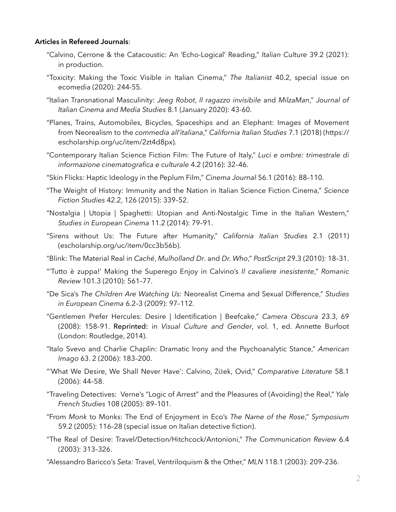### **Articles in Refereed Journals**:

- "Calvino, Cerrone & the Catacoustic: An 'Echo-Logical' Reading," *Italian Culture* 39.2 (2021): in production.
- "Toxicity: Making the Toxic Visible in Italian Cinema," *The Italianist* 40.2, special issue on ecomedia (2020): 244-55.
- "Italian Transnational Masculinity: *Jeeg Robot*, *Il ragazzo invisibile* and *MilzaMan*," *Journal of Italian Cinema and Media Studies* 8.1 (January 2020): 43-60.
- "Planes, Trains, Automobiles, Bicycles, Spaceships and an Elephant: Images of Movement from Neorealism to the *commedia all'italiana*," *California Italian Studies* 7.1 (2018) (https:// escholarship.org/uc/item/2zt4d8px).
- "Contemporary Italian Science Fiction Film: The Future of Italy," *Luci e ombre: trimestrale di informazione cinematografica e culturale* 4.2 (2016): 32–46.
- "Skin Flicks: Haptic Ideology in the Peplum Film," *Cinema Journal* 56.1 (2016): 88–110.
- "The Weight of History: Immunity and the Nation in Italian Science Fiction Cinema," *Science Fiction Studies* 42.2, 126 (2015): 339–52.
- "Nostalgia | Utopia | Spaghetti: Utopian and Anti-Nostalgic Time in the Italian Western," *Studies in European Cinema* 11.2 (2014): 79–91.
- "Sirens without Us: The Future after Humanity," *California Italian Studies* 2.1 (2011) (escholarship.org/uc/item/0cc3b56b).
- "Blink: The Material Real in *Caché*, *Mulholland Dr*. and *Dr. Who*," *PostScript* 29.3 (2010): 18–31.
- "'Tutto è zuppa!' Making the Superego Enjoy in Calvino's *Il cavaliere inesistente*," *Romanic Review* 101.3 (2010): 561–77.
- "De Sica's *The Children Are Watching Us:* Neorealist Cinema and Sexual Difference," *Studies in European Cinema* 6.2–3 (2009): 97–112*.*
- "Gentlemen Prefer Hercules: Desire | Identification | Beefcake," *Camera Obscura* 23.3, 69 (2008): 158–91. Reprinted: in *Visual Culture and Gender*, vol. 1, ed. Annette Burfoot (London: Routledge, 2014).
- "Italo Svevo and Charlie Chaplin: Dramatic Irony and the Psychoanalytic Stance," *American Imago* 63. 2 (2006): 183–200.
- "'What We Desire, We Shall Never Have': Calvino, Žižek, Ovid," *Comparative Literature* 58.1 (2006): 44–58.
- "Traveling Detectives: Verne's "Logic of Arrest" and the Pleasures of (Avoiding) the Real," *Yale French Studies* 108 (2005): 89–101.
- "From *Monk* to Monks: The End of Enjoyment in Eco's *The Name of the Rose*," *Symposium* 59.2 (2005): 116–28 (special issue on Italian detective fiction).
- "The Real of Desire: Travel/Detection/Hitchcock/Antonioni," *The Communication Review* 6.4 (2003): 313–326.

"Alessandro Baricco's *Seta:* Travel, Ventriloquism & the Other," *MLN* 118.1 (2003): 209–236.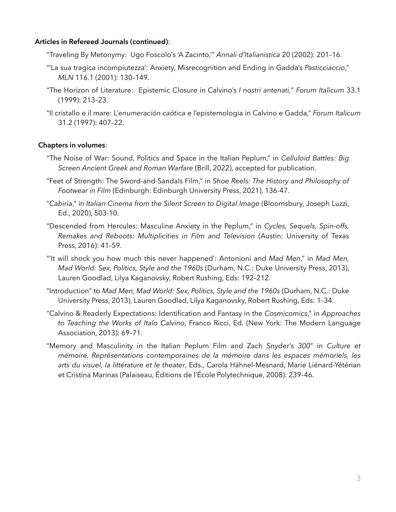### **Articles in Refereed Journals (continued)**:

- "Traveling By Metonymy: Ugo Foscolo's 'A Zacinto,'" *Annali d'Italianistica* 20 (2002): 201–16.
- "'La sua tragica incompiutezza': Anxiety, Misrecognition and Ending in Gadda's *Pasticciaccio*," *MLN* 116.1 (2001): 130–149.
- "The Horizon of Literature: Epistemic Closure in Calvino's *I nostri antenati,*" *Forum Italicum* 33.1 (1999): 213–23.
- "Il cristallo e il mare: L'*enumeración caótica* e l'epistemologia in Calvino e Gadda," *Forum Italicum* 31.2 (1997): 407–22.

## **Chapters in volumes**:

- "The Noise of War: Sound, Politics and Space in the Italian Peplum," in *Celluloid Battles: Big Screen Ancient Greek and Roman Warfare* (Brill, 2022), accepted for publication.
- "Feet of Strength: The Sword-and-Sandals Film," in *Shoe Reels: The History and Philosophy of Footwear in Film* (Edinburgh: Edinburgh University Press, 2021), 136-47.
- "*Cabiria*," in *Italian Cinema from the Silent Screen to Digital Image* (Bloomsbury, Joseph Luzzi, Ed., 2020), 503-10.
- "Descended from Hercules: Masculine Anxiety in the Peplum," in *Cycles, Sequels, Spin-offs, Remakes and Reboots: Multiplicities in Film and Television* (Austin: University of Texas Press, 2016): 41–59.
- "'It will shock you how much this never happened': Antonioni and *Mad Men*," in *Mad Men, Mad World: Sex, Politics, Style and the 1960s* (Durham, N.C.: Duke University Press, 2013), Lauren Goodlad, Lilya Kaganovsky, Robert Rushing, Eds: 192–212.
- "Introduction" to *Mad Men, Mad World: Sex, Politics, Style and the 1960s* (Durham, N.C.: Duke University Press, 2013), Lauren Goodlad, Lilya Kaganovsky, Robert Rushing, Eds: 1–34.
- "Calvino & Readerly Expectations: Identification and Fantasy in the *Cosmicomics*," in *Approaches to Teaching the Works of Italo Calvino*, Franco Ricci, Ed. (New York: The Modern Language Association, 2013): 69–71.
- "Memory and Masculinity in the Italian Peplum Film and Zach Snyder's *300*" in *Culture et mémoire. Représentations contemporaines de la mémoire dans les espaces mémoriels, les arts du visuel, la littérature et le theater*, Eds., Carola Hähnel-Mesnard, Marie Liénard-Yétérian et Cristina Marinas (Palaiseau, Éditions de l'École Polytechnique, 2008): 239–46.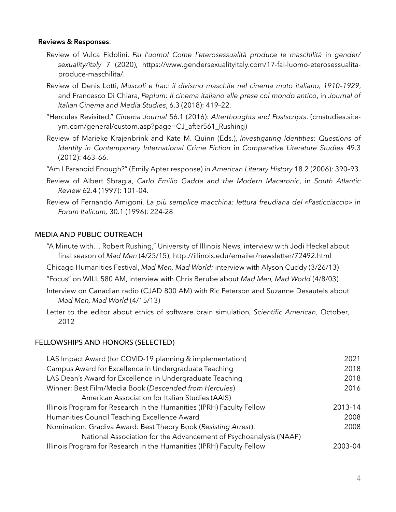### **Reviews & Responses**:

- Review of Vulca Fidolini, *Fai l'uomo! Come l'eterosessualità produce le maschilità* in *gender/ sexuality/italy* 7 (2020), https://www.gendersexualityitaly.com/17-fai-luomo-eterosessualitaproduce-maschilita/.
- Review of Denis Lotti, *Muscoli e frac: il divismo maschile nel cinema muto italiano, 1910–1929*, and Francesco Di Chiara, *Peplum: Il cinema italiano alle prese col mondo antico*, in *Journal of Italian Cinema and Media Studies*, 6.3 (2018): 419–22.
- "Hercules Revisited," *Cinema Journal* 56.1 (2016): *Afterthoughts and Postscripts*. (cmstudies.siteym.com/general/custom.asp?page=CJ\_after561\_Rushing)
- Review of Marieke Krajenbrink and Kate M. Quinn (Eds.), *Investigating Identities: Questions of Identity in Contemporary International Crime Fiction* in *Comparative Literature Studies* 49.3 (2012): 463–66.
- "Am I Paranoid Enough?" (Emily Apter response) in *American Literary History* 18.2 (2006): 390–93.
- Review of Albert Sbragia, *Carlo Emilio Gadda and the Modern Macaronic*, in *South Atlantic Review* 62.4 (1997): 101–04.
- Review of Fernando Amigoni, *La più semplice macchina: lettura freudiana del «Pasticciaccio»* in *Forum Italicum,* 30.1 (1996): 224-28

## MEDIA AND PUBLIC OUTREACH

- "A Minute with… Robert Rushing," University of Illinois News, interview with Jodi Heckel about final season of *Mad Men* (4/25/15); http://illinois.edu/emailer/newsletter/72492.html
- Chicago Humanities Festival, *Mad Men, Mad World:* interview with Alyson Cuddy (3/26/13)
- "Focus" on WILL 580 AM, interview with Chris Berube about *Mad Men, Mad World* (4/8/03)
- Interview on Canadian radio (CJAD 800 AM) with Ric Peterson and Suzanne Desautels about *Mad Men, Mad World* (4/15/13)
- Letter to the editor about ethics of software brain simulation, *Scientific American*, October, 2012

### FELLOWSHIPS AND HONORS (SELECTED)

| LAS Impact Award (for COVID-19 planning & implementation)             | 2021    |
|-----------------------------------------------------------------------|---------|
| Campus Award for Excellence in Undergraduate Teaching                 | 2018    |
| LAS Dean's Award for Excellence in Undergraduate Teaching             | 2018    |
| Winner: Best Film/Media Book (Descended from Hercules)                | 2016    |
| American Association for Italian Studies (AAIS)                       |         |
| Illinois Program for Research in the Humanities (IPRH) Faculty Fellow | 2013-14 |
| Humanities Council Teaching Excellence Award                          | 2008    |
| Nomination: Gradiva Award: Best Theory Book (Resisting Arrest):       |         |
| National Association for the Advancement of Psychoanalysis (NAAP)     |         |
| Illinois Program for Research in the Humanities (IPRH) Faculty Fellow | 2003-04 |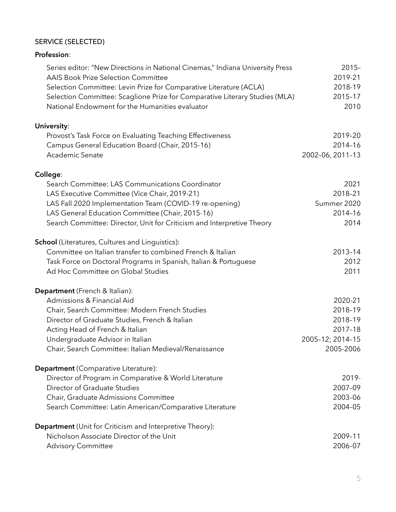## SERVICE (SELECTED)

| Profession:                                                                   |                  |
|-------------------------------------------------------------------------------|------------------|
| Series editor: "New Directions in National Cinemas," Indiana University Press | $2015 -$         |
| <b>AAIS Book Prize Selection Committee</b>                                    | 2019-21          |
| Selection Committee: Levin Prize for Comparative Literature (ACLA)            | 2018-19          |
| Selection Committee: Scaglione Prize for Comparative Literary Studies (MLA)   | 2015-17          |
| National Endowment for the Humanities evaluator                               | 2010             |
| University:                                                                   |                  |
| Provost's Task Force on Evaluating Teaching Effectiveness                     | 2019-20          |
| Campus General Education Board (Chair, 2015-16)                               | 2014-16          |
| Academic Senate                                                               | 2002-06, 2011-13 |
| College:                                                                      |                  |
| Search Committee: LAS Communications Coordinator                              | 2021             |
| LAS Executive Committee (Vice Chair, 2019-21)                                 | 2018-21          |
| LAS Fall 2020 Implementation Team (COVID-19 re-opening)                       | Summer 2020      |
| LAS General Education Committee (Chair, 2015-16)                              | 2014-16          |
| Search Committee: Director, Unit for Criticism and Interpretive Theory        | 2014             |
| <b>School</b> (Literatures, Cultures and Linguistics):                        |                  |
| Committee on Italian transfer to combined French & Italian                    | 2013-14          |
| Task Force on Doctoral Programs in Spanish, Italian & Portuguese              | 2012             |
| Ad Hoc Committee on Global Studies                                            | 2011             |
| Department (French & Italian):                                                |                  |
| Admissions & Financial Aid                                                    | 2020-21          |
| Chair, Search Committee: Modern French Studies                                | 2018-19          |
| Director of Graduate Studies, French & Italian                                | 2018-19          |
| Acting Head of French & Italian                                               | 2017-18          |
| Undergraduate Advisor in Italian                                              | 2005-12; 2014-15 |
| Chair, Search Committee: Italian Medieval/Renaissance                         | 2005-2006        |
| Department (Comparative Literature):                                          |                  |
| Director of Program in Comparative & World Literature                         | 2019-            |
| Director of Graduate Studies                                                  | 2007-09          |
| Chair, Graduate Admissions Committee                                          | 2003-06          |
| Search Committee: Latin American/Comparative Literature                       | 2004-05          |
| <b>Department</b> (Unit for Criticism and Interpretive Theory):               |                  |
| Nicholson Associate Director of the Unit                                      | 2009-11          |
| <b>Advisory Committee</b>                                                     | 2006-07          |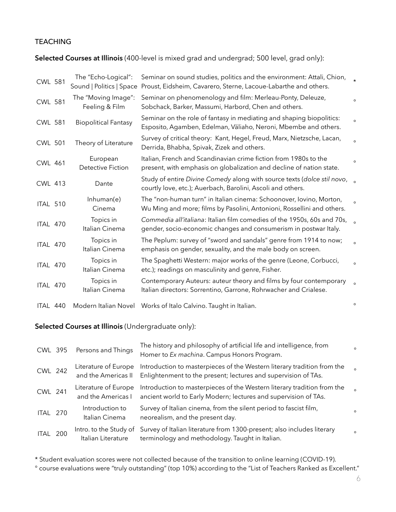## **TEACHING**

## **Selected Courses at Illinois** (400-level is mixed grad and undergrad; 500 level, grad only):

| <b>CWL 581</b> | The "Echo-Logical":<br>Sound   Politics   Space | Seminar on sound studies, politics and the environment: Attali, Chion,<br>Proust, Eidsheim, Cavarero, Sterne, Lacoue-Labarthe and others.     | $\star$ |
|----------------|-------------------------------------------------|-----------------------------------------------------------------------------------------------------------------------------------------------|---------|
| <b>CWL 581</b> | The "Moving Image":<br>Feeling & Film           | Seminar on phenomenology and film: Merleau-Ponty, Deleuze,<br>Sobchack, Barker, Massumi, Harbord, Chen and others.                            | $\circ$ |
| <b>CWL 581</b> | <b>Biopolitical Fantasy</b>                     | Seminar on the role of fantasy in mediating and shaping biopolitics:<br>Esposito, Agamben, Edelman, Väliaho, Neroni, Mbembe and others.       | $\circ$ |
| <b>CWL 501</b> | Theory of Literature                            | Survey of critical theory: Kant, Hegel, Freud, Marx, Nietzsche, Lacan,<br>Derrida, Bhabha, Spivak, Zizek and others.                          | $\circ$ |
| <b>CWL 461</b> | European<br><b>Detective Fiction</b>            | Italian, French and Scandinavian crime fiction from 1980s to the<br>present, with emphasis on globalization and decline of nation state.      | $\circ$ |
| <b>CWL 413</b> | Dante                                           | Study of entire Divine Comedy along with source texts (dolce stil novo, s<br>courtly love, etc.); Auerbach, Barolini, Ascoli and others.      |         |
| ITAL 510       | Inhuman(e)<br>Cinema                            | The "non-human turn" in Italian cinema: Schoonover, Iovino, Morton,<br>Wu Ming and more; films by Pasolini, Antonioni, Rossellini and others. |         |
| ITAL 470       | Topics in<br>Italian Cinema                     | Commedia all'italiana: Italian film comedies of the 1950s, 60s and 70s,<br>gender, socio-economic changes and consumerism in postwar Italy.   |         |
| ITAL 470       | Topics in<br>Italian Cinema                     | The Peplum: survey of "sword and sandals" genre from 1914 to now;<br>emphasis on gender, sexuality, and the male body on screen.              | $\circ$ |
| ITAL 470       | Topics in<br>Italian Cinema                     | The Spaghetti Western: major works of the genre (Leone, Corbucci,<br>etc.); readings on masculinity and genre, Fisher.                        | $\circ$ |
| ITAL 470       | Topics in<br>Italian Cinema                     | Contemporary Auteurs: auteur theory and films by four contemporary<br>Italian directors: Sorrentino, Garrone, Rohrwacher and Crialese.        | $\circ$ |
| ITAL 440       |                                                 | Modern Italian Novel Works of Italo Calvino. Taught in Italian.                                                                               |         |

# **Selected Courses at Illinois** (Undergraduate only):

| CWL 395        | Persons and Things                           | The history and philosophy of artificial life and intelligence, from<br>Homer to Ex machina. Campus Honors Program.                        | $\circ$  |
|----------------|----------------------------------------------|--------------------------------------------------------------------------------------------------------------------------------------------|----------|
| <b>CWL 242</b> | Literature of Europe<br>and the Americas II  | Introduction to masterpieces of the Western literary tradition from the<br>Enlightenment to the present; lectures and supervision of TAs.  | $\Omega$ |
| CWL 241        | Literature of Europe<br>and the Americas I   | Introduction to masterpieces of the Western literary tradition from the<br>ancient world to Early Modern; lectures and supervision of TAs. | $\circ$  |
| ITAL 270       | Introduction to<br>Italian Cinema            | Survey of Italian cinema, from the silent period to fascist film,<br>neorealism, and the present day.                                      | $\circ$  |
| ITAL 200       | Intro. to the Study of<br>Italian Literature | Survey of Italian literature from 1300-present; also includes literary<br>terminology and methodology. Taught in Italian.                  | $\circ$  |

\* Student evaluation scores were not collected because of the transition to online learning (COVID-19).

° course evaluations were "truly outstanding" (top 10%) according to the "List of Teachers Ranked as Excellent."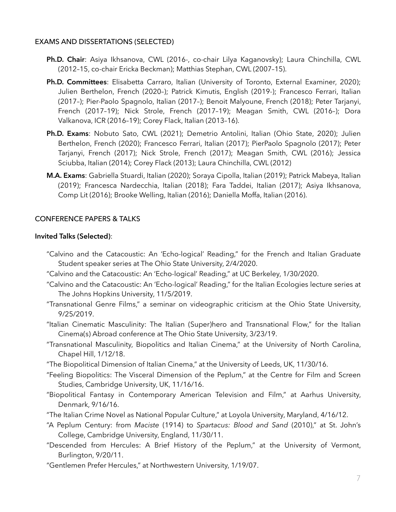### EXAMS AND DISSERTATIONS (SELECTED)

- **Ph.D. Chair**: Asiya Ikhsanova, CWL (2016-, co-chair Lilya Kaganovsky); Laura Chinchilla, CWL (2012–15, co-chair Ericka Beckman); Matthias Stephan, CWL (2007–15).
- **Ph.D. Committees**: Elisabetta Carraro, Italian (University of Toronto, External Examiner, 2020); Julien Berthelon, French (2020–); Patrick Kimutis, English (2019-); Francesco Ferrari, Italian (2017–); Pier-Paolo Spagnolo, Italian (2017–); Benoit Malyoune, French (2018); Peter Tarjanyi, French (2017–19); Nick Strole, French (2017–19); Meagan Smith, CWL (2016–); Dora Valkanova, ICR (2016–19); Corey Flack, Italian (2013–16).
- **Ph.D. Exams**: Nobuto Sato, CWL (2021); Demetrio Antolini, Italian (Ohio State, 2020); Julien Berthelon, French (2020); Francesco Ferrari, Italian (2017); PierPaolo Spagnolo (2017); Peter Tarjanyi, French (2017); Nick Strole, French (2017); Meagan Smith, CWL (2016); Jessica Sciubba, Italian (2014); Corey Flack (2013); Laura Chinchilla, CWL (2012)
- **M.A. Exams**: Gabriella Stuardi, Italian (2020); Soraya Cipolla, Italian (2019); Patrick Mabeya, Italian (2019); Francesca Nardecchia, Italian (2018); Fara Taddei, Italian (2017); Asiya Ikhsanova, Comp Lit (2016); Brooke Welling, Italian (2016); Daniella Moffa, Italian (2016).

## CONFERENCE PAPERS & TALKS

### **Invited Talks (Selected)**:

- "Calvino and the Catacoustic: An 'Echo-logical' Reading," for the French and Italian Graduate Student speaker series at The Ohio State University, 2/4/2020.
- "Calvino and the Catacoustic: An 'Echo-logical' Reading," at UC Berkeley, 1/30/2020.
- "Calvino and the Catacoustic: An 'Echo-logical' Reading," for the Italian Ecologies lecture series at The Johns Hopkins University, 11/5/2019.
- "Transnational Genre Films," a seminar on videographic criticism at the Ohio State University, 9/25/2019.
- "Italian Cinematic Masculinity: The Italian (Super)hero and Transnational Flow," for the Italian Cinema(s) Abroad conference at The Ohio State University, 3/23/19.
- "Transnational Masculinity, Biopolitics and Italian Cinema," at the University of North Carolina, Chapel Hill, 1/12/18.
- "The Biopolitical Dimension of Italian Cinema," at the University of Leeds, UK, 11/30/16.
- "Feeling Biopolitics: The Visceral Dimension of the Peplum," at the Centre for Film and Screen Studies, Cambridge University, UK, 11/16/16.
- "Biopolitical Fantasy in Contemporary American Television and Film," at Aarhus University, Denmark, 9/16/16.
- "The Italian Crime Novel as National Popular Culture," at Loyola University, Maryland, 4/16/12.
- "A Peplum Century: from *Maciste* (1914) to *Spartacus: Blood and Sand* (2010)," at St. John's College, Cambridge University, England, 11/30/11.
- "Descended from Hercules: A Brief History of the Peplum," at the University of Vermont, Burlington, 9/20/11.
- "Gentlemen Prefer Hercules," at Northwestern University, 1/19/07.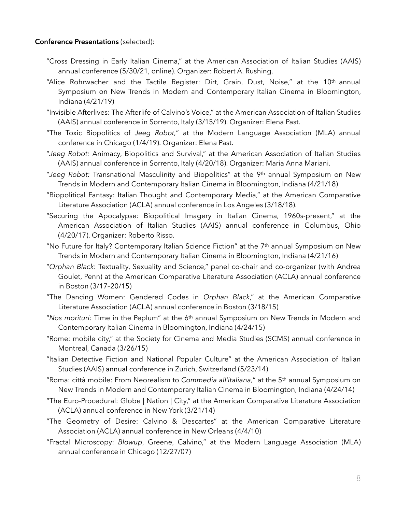### **Conference Presentations** (selected):

- "Cross Dressing in Early Italian Cinema," at the American Association of Italian Studies (AAIS) annual conference (5/30/21, online). Organizer: Robert A. Rushing.
- "Alice Rohrwacher and the Tactile Register: Dirt, Grain, Dust, Noise," at the 10<sup>th</sup> annual Symposium on New Trends in Modern and Contemporary Italian Cinema in Bloomington, Indiana (4/21/19)
- "Invisible Afterlives: The Afterlife of Calvino's Voice," at the American Association of Italian Studies (AAIS) annual conference in Sorrento, Italy (3/15/19). Organizer: Elena Past.
- "The Toxic Biopolitics of *Jeeg Robot,*" at the Modern Language Association (MLA) annual conference in Chicago (1/4/19). Organizer: Elena Past.
- "*Jeeg Robot:* Animacy, Biopolitics and Survival," at the American Association of Italian Studies (AAIS) annual conference in Sorrento, Italy (4/20/18). Organizer: Maria Anna Mariani.
- "*Jeeg Robot:* Transnational Masculinity and Biopolitics" at the 9th annual Symposium on New Trends in Modern and Contemporary Italian Cinema in Bloomington, Indiana (4/21/18)
- "Biopolitical Fantasy: Italian Thought and Contemporary Media," at the American Comparative Literature Association (ACLA) annual conference in Los Angeles (3/18/18).
- "Securing the Apocalypse: Biopolitical Imagery in Italian Cinema, 1960s-present," at the American Association of Italian Studies (AAIS) annual conference in Columbus, Ohio (4/20/17). Organizer: Roberto Risso.
- "No Future for Italy? Contemporary Italian Science Fiction" at the  $7<sup>th</sup>$  annual Symposium on New Trends in Modern and Contemporary Italian Cinema in Bloomington, Indiana (4/21/16)
- "*Orphan Black*: Textuality, Sexuality and Science," panel co-chair and co-organizer (with Andrea Goulet, Penn) at the American Comparative Literature Association (ACLA) annual conference in Boston (3/17–20/15)
- "The Dancing Women: Gendered Codes in *Orphan Black*," at the American Comparative Literature Association (ACLA) annual conference in Boston (3/18/15)
- "*Nos morituri:* Time in the Peplum" at the 6th annual Symposium on New Trends in Modern and Contemporary Italian Cinema in Bloomington, Indiana (4/24/15)
- "Rome: mobile city," at the Society for Cinema and Media Studies (SCMS) annual conference in Montreal, Canada (3/26/15)
- "Italian Detective Fiction and National Popular Culture" at the American Association of Italian Studies (AAIS) annual conference in Zurich, Switzerland (5/23/14)
- "Roma: città mobile: From Neorealism to *Commedia all'italiana,*" at the 5th annual Symposium on New Trends in Modern and Contemporary Italian Cinema in Bloomington, Indiana (4/24/14)
- "The Euro-Procedural: Globe | Nation | City," at the American Comparative Literature Association (ACLA) annual conference in New York (3/21/14)
- "The Geometry of Desire: Calvino & Descartes" at the American Comparative Literature Association (ACLA) annual conference in New Orleans (4/4/10)
- "Fractal Microscopy: *Blowup*, Greene, Calvino," at the Modern Language Association (MLA) annual conference in Chicago (12/27/07)